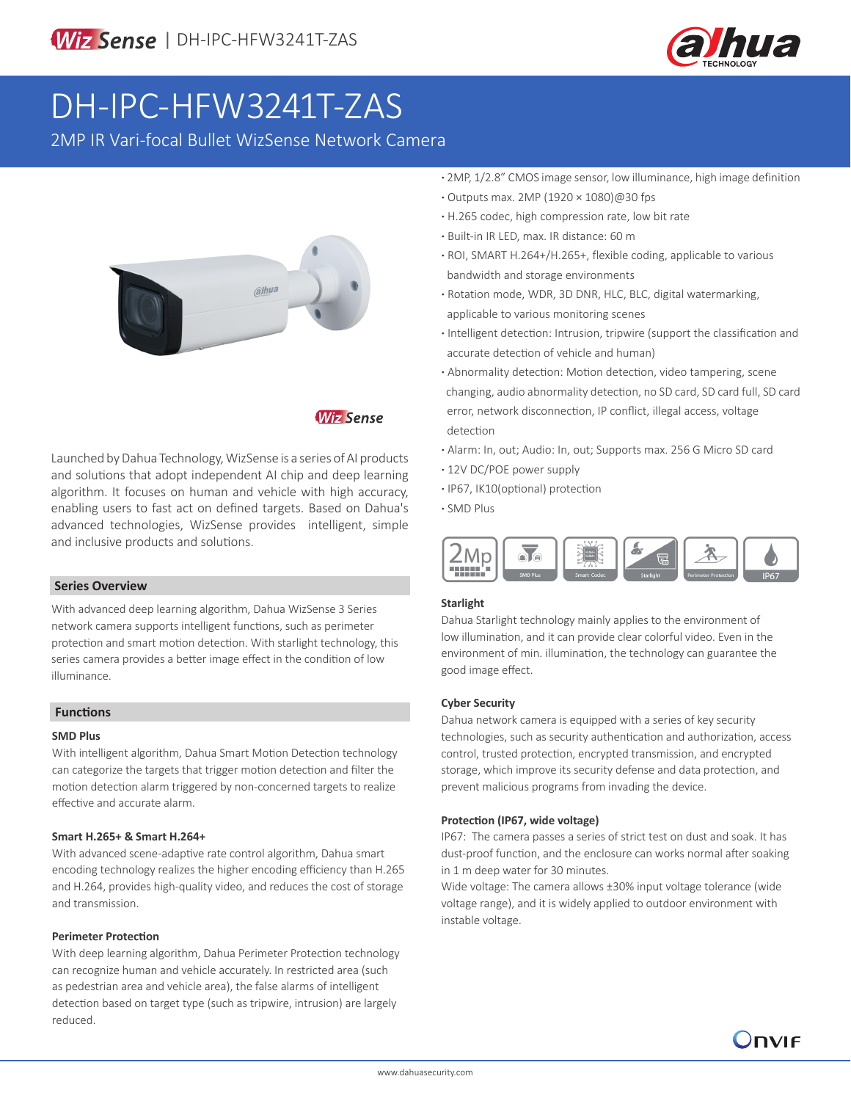

# DH-IPC-HFW3241T-ZAS

2MP IR Vari-focal Bullet WizSense Network Camera



## **Wiz Sense**

Launched by Dahua Technology, WizSense is a series of AI products and solutions that adopt independent AI chip and deep learning algorithm. It focuses on human and vehicle with high accuracy, enabling users to fast act on defined targets. Based on Dahua's advanced technologies, WizSense provides intelligent, simple and inclusive products and solutions.

#### **Series Overview**

With advanced deep learning algorithm, Dahua WizSense 3 Series network camera supports intelligent functions, such as perimeter protection and smart motion detection. With starlight technology, this series camera provides a better image effect in the condition of low illuminance.

#### **Functions**

#### **SMD Plus**

With intelligent algorithm, Dahua Smart Motion Detection technology can categorize the targets that trigger motion detection and filter the motion detection alarm triggered by non-concerned targets to realize effective and accurate alarm.

#### **Smart H.265+ & Smart H.264+**

With advanced scene-adaptive rate control algorithm, Dahua smart encoding technology realizes the higher encoding efficiency than H.265 and H.264, provides high-quality video, and reduces the cost of storage and transmission.

#### **Perimeter Protection**

With deep learning algorithm, Dahua Perimeter Protection technology can recognize human and vehicle accurately. In restricted area (such as pedestrian area and vehicle area), the false alarms of intelligent detection based on target type (such as tripwire, intrusion) are largely reduced.

- **·** 2MP, 1/2.8" CMOS image sensor, low illuminance, high image definition
- **·** Outputs max. 2MP (1920 × 1080)@30 fps
- **·** H.265 codec, high compression rate, low bit rate
- **·** Built-in IR LED, max. IR distance: 60 m
- **·** ROI, SMART H.264+/H.265+, flexible coding, applicable to various bandwidth and storage environments
- **·** Rotation mode, WDR, 3D DNR, HLC, BLC, digital watermarking, applicable to various monitoring scenes
- **·** Intelligent detection: Intrusion, tripwire (support the classification and accurate detection of vehicle and human)
- **·** Abnormality detection: Motion detection, video tampering, scene changing, audio abnormality detection, no SD card, SD card full, SD card error, network disconnection, IP conflict, illegal access, voltage detection
- **·** Alarm: In, out; Audio: In, out; Supports max. 256 G Micro SD card
- **·** 12V DC/POE power supply
- **·** IP67, IK10(optional) protection
- **·** SMD Plus



#### **Starlight**

Dahua Starlight technology mainly applies to the environment of low illumination, and it can provide clear colorful video. Even in the environment of min. illumination, the technology can guarantee the good image effect.

#### **Cyber Security**

Dahua network camera is equipped with a series of key security technologies, such as security authentication and authorization, access control, trusted protection, encrypted transmission, and encrypted storage, which improve its security defense and data protection, and prevent malicious programs from invading the device.

#### **Protection (IP67, wide voltage)**

IP67: The camera passes a series of strict test on dust and soak. It has dust-proof function, and the enclosure can works normal after soaking in 1 m deep water for 30 minutes.

Wide voltage: The camera allows ±30% input voltage tolerance (wide voltage range), and it is widely applied to outdoor environment with instable voltage.

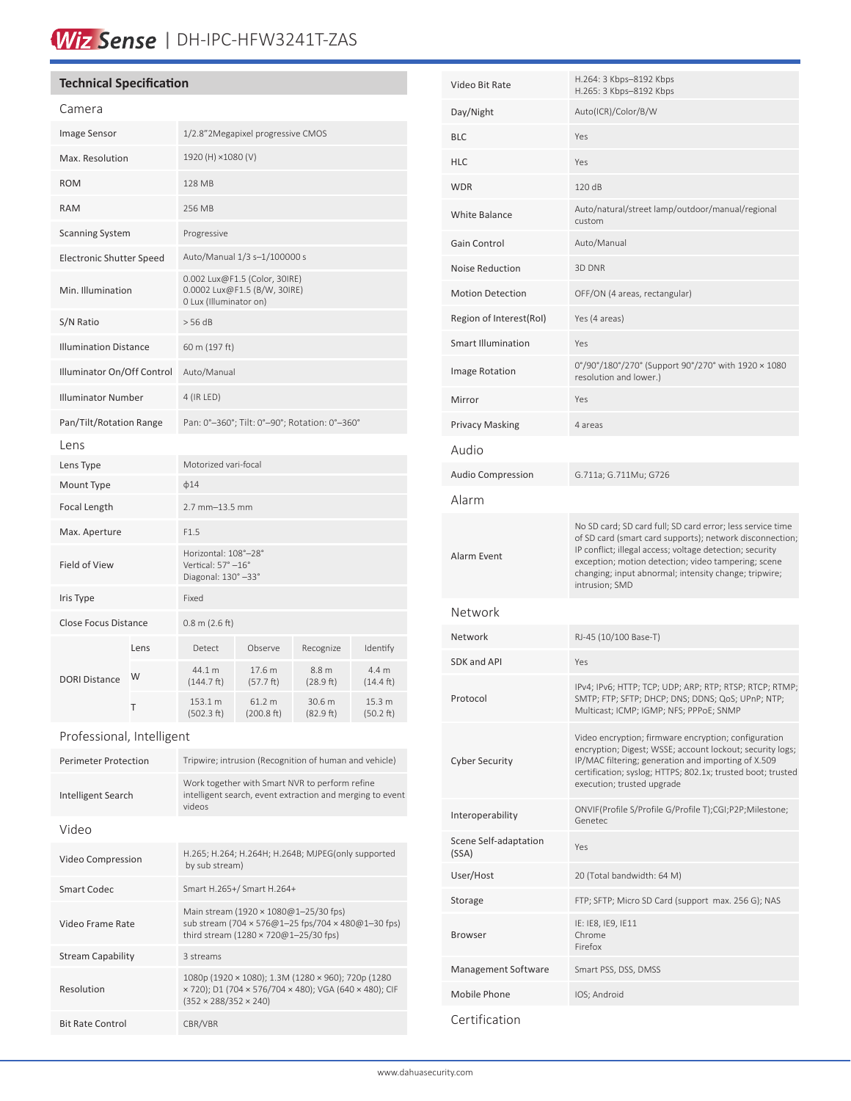# Wiz Sense | DH-IPC-HFW3241T-ZAS

## **Technical Specification**

| Camera                          |      |                                                                                         |                      |                               |                              |
|---------------------------------|------|-----------------------------------------------------------------------------------------|----------------------|-------------------------------|------------------------------|
| Image Sensor                    |      | 1/2.8"2Megapixel progressive CMOS                                                       |                      |                               |                              |
| Max. Resolution                 |      | 1920 (H) ×1080 (V)                                                                      |                      |                               |                              |
| <b>ROM</b>                      |      | 128 MB                                                                                  |                      |                               |                              |
| <b>RAM</b>                      |      | 256 MB                                                                                  |                      |                               |                              |
| <b>Scanning System</b>          |      | Progressive                                                                             |                      |                               |                              |
| <b>Electronic Shutter Speed</b> |      | Auto/Manual 1/3 s-1/100000 s                                                            |                      |                               |                              |
| Min. Illumination               |      | 0.002 Lux@F1.5 (Color, 30IRE)<br>0.0002 Lux@F1.5 (B/W, 30IRE)<br>0 Lux (Illuminator on) |                      |                               |                              |
| S/N Ratio                       |      | > 56 dB                                                                                 |                      |                               |                              |
| <b>Illumination Distance</b>    |      | 60 m (197 ft)                                                                           |                      |                               |                              |
| Illuminator On/Off Control      |      | Auto/Manual                                                                             |                      |                               |                              |
| <b>Illuminator Number</b>       |      | 4 (IR LED)                                                                              |                      |                               |                              |
| Pan/Tilt/Rotation Range         |      | Pan: 0°-360°; Tilt: 0°-90°; Rotation: 0°-360°                                           |                      |                               |                              |
| Lens                            |      |                                                                                         |                      |                               |                              |
| Lens Type                       |      | Motorized vari-focal                                                                    |                      |                               |                              |
| Mount Type                      |      | $\phi$ 14                                                                               |                      |                               |                              |
| Focal Length                    |      | 2.7 mm-13.5 mm                                                                          |                      |                               |                              |
| Max. Aperture                   |      | F1.5                                                                                    |                      |                               |                              |
| Field of View                   |      | Horizontal: 108°-28°<br>Vertical: 57° -16°<br>Diagonal: 130° -33°                       |                      |                               |                              |
| Iris Type                       |      | Fixed                                                                                   |                      |                               |                              |
| <b>Close Focus Distance</b>     |      | $0.8$ m (2.6 ft)                                                                        |                      |                               |                              |
| <b>DORI Distance</b>            | Lens | Detect                                                                                  | Observe              | Recognize                     | Identify                     |
|                                 | W    | 44.1 m<br>(144.7 ft)                                                                    | 17.6 m<br>(57.7 ft)  | 8.8 <sub>m</sub><br>(28.9 ft) | 4.4 m<br>$(14.4 \text{ ft})$ |
|                                 | T    | 153.1 m<br>(502.3 ft)                                                                   | 61.2 m<br>(200.8 ft) | 30.6 m<br>(82.9 ft)           | 15.3 m<br>(50.2 ft)          |

### Professional, Intelligent

| <b>Perimeter Protection</b> | Tripwire; intrusion (Recognition of human and vehicle)                                                                                            |  |  |
|-----------------------------|---------------------------------------------------------------------------------------------------------------------------------------------------|--|--|
| Intelligent Search          | Work together with Smart NVR to perform refine<br>intelligent search, event extraction and merging to event<br><b>videos</b>                      |  |  |
| Video                       |                                                                                                                                                   |  |  |
| Video Compression           | H.265; H.264; H.264H; H.264B; MJPEG(only supported<br>by sub stream)                                                                              |  |  |
| Smart Codec                 | Smart H.265+/ Smart H.264+                                                                                                                        |  |  |
| Video Frame Rate            | Main stream (1920 × 1080@1-25/30 fps)<br>sub stream (704 × 576@1-25 fps/704 × 480@1-30 fps)<br>third stream (1280 × 720@1-25/30 fps)              |  |  |
| <b>Stream Capability</b>    | 3 streams                                                                                                                                         |  |  |
| Resolution                  | 1080p (1920 × 1080); 1.3M (1280 × 960); 720p (1280<br>x 720); D1 (704 x 576/704 x 480); VGA (640 x 480); CIF<br>$(352 \times 288/352 \times 240)$ |  |  |
| <b>Bit Rate Control</b>     | CBR/VBR                                                                                                                                           |  |  |

| Video Bit Rate                 | H.264: 3 Kbps-8192 Kbps<br>H.265: 3 Kbps-8192 Kbps                                                                                                                                                                                                                                                                   |  |
|--------------------------------|----------------------------------------------------------------------------------------------------------------------------------------------------------------------------------------------------------------------------------------------------------------------------------------------------------------------|--|
| Day/Night                      | Auto(ICR)/Color/B/W                                                                                                                                                                                                                                                                                                  |  |
| <b>BLC</b>                     | Yes                                                                                                                                                                                                                                                                                                                  |  |
| <b>HLC</b>                     | Yes                                                                                                                                                                                                                                                                                                                  |  |
| <b>WDR</b>                     | 120 dB                                                                                                                                                                                                                                                                                                               |  |
| White Balance                  | Auto/natural/street lamp/outdoor/manual/regional<br>custom                                                                                                                                                                                                                                                           |  |
| Gain Control                   | Auto/Manual                                                                                                                                                                                                                                                                                                          |  |
| <b>Noise Reduction</b>         | 3D DNR                                                                                                                                                                                                                                                                                                               |  |
| <b>Motion Detection</b>        | OFF/ON (4 areas, rectangular)                                                                                                                                                                                                                                                                                        |  |
| Region of Interest(RoI)        | Yes (4 areas)                                                                                                                                                                                                                                                                                                        |  |
| <b>Smart Illumination</b>      | Yes                                                                                                                                                                                                                                                                                                                  |  |
| <b>Image Rotation</b>          | 0°/90°/180°/270° (Support 90°/270° with 1920 × 1080<br>resolution and lower.)                                                                                                                                                                                                                                        |  |
| Mirror                         | Yes                                                                                                                                                                                                                                                                                                                  |  |
| <b>Privacy Masking</b>         | 4 areas                                                                                                                                                                                                                                                                                                              |  |
| Audio                          |                                                                                                                                                                                                                                                                                                                      |  |
| <b>Audio Compression</b>       | G.711a; G.711Mu; G726                                                                                                                                                                                                                                                                                                |  |
| Alarm                          |                                                                                                                                                                                                                                                                                                                      |  |
| Alarm Event                    | No SD card; SD card full; SD card error; less service time<br>of SD card (smart card supports); network disconnection;<br>IP conflict; illegal access; voltage detection; security<br>exception; motion detection; video tampering; scene<br>changing; input abnormal; intensity change; tripwire;<br>intrusion; SMD |  |
| Network                        |                                                                                                                                                                                                                                                                                                                      |  |
| Network                        | RJ-45 (10/100 Base-T)                                                                                                                                                                                                                                                                                                |  |
| <b>SDK and API</b>             | Yes                                                                                                                                                                                                                                                                                                                  |  |
| Protocol                       | IPv4; IPv6; HTTP; TCP; UDP; ARP; RTP; RTSP; RTCP; RTMP;<br>SMTP; FTP; SFTP; DHCP; DNS; DDNS; QoS; UPnP; NTP;<br>Multicast; ICMP; IGMP; NFS; PPPoE; SNMP                                                                                                                                                              |  |
| <b>Cyber Security</b>          | Video encryption; firmware encryption; configuration<br>encryption; Digest; WSSE; account lockout; security logs;<br>IP/MAC filtering; generation and importing of X.509<br>certification; syslog; HTTPS; 802.1x; trusted boot; trusted<br>execution; trusted upgrade                                                |  |
| Interoperability               | ONVIF(Profile S/Profile G/Profile T);CGI;P2P;Milestone;<br>Genetec                                                                                                                                                                                                                                                   |  |
| Scene Self-adaptation<br>(SSA) | Yes                                                                                                                                                                                                                                                                                                                  |  |
| User/Host                      | 20 (Total bandwidth: 64 M)                                                                                                                                                                                                                                                                                           |  |
| Storage                        | FTP; SFTP; Micro SD Card (support max. 256 G); NAS                                                                                                                                                                                                                                                                   |  |
| Browser                        | IE: IE8, IE9, IE11<br>Chrome<br>Firefox                                                                                                                                                                                                                                                                              |  |
| Management Software            | Smart PSS, DSS, DMSS                                                                                                                                                                                                                                                                                                 |  |
| Mobile Phone                   | IOS; Android                                                                                                                                                                                                                                                                                                         |  |
| Certification                  |                                                                                                                                                                                                                                                                                                                      |  |